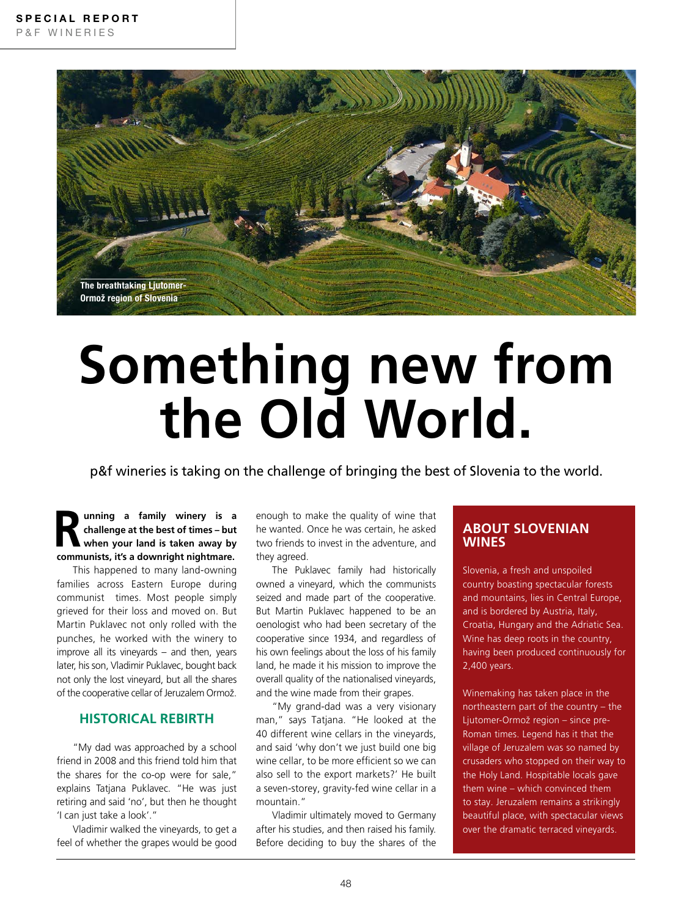

# **Something new from the Old World.**

p&f wineries is taking on the challenge of bringing the best of Slovenia to the world.

**R** unning a family winery is a challenge at the best of times – but when your land is taken away by **challenge at the best of times – but when your land is taken away by communists, it's a downright nightmare.**

This happened to many land-owning families across Eastern Europe during communist times. Most people simply grieved for their loss and moved on. But Martin Puklavec not only rolled with the punches, he worked with the winery to improve all its vineyards – and then, years later, his son, Vladimir Puklavec, bought back not only the lost vineyard, but all the shares of the cooperative cellar of Jeruzalem Ormož.

# **HISTORICAL REBIRTH**

"My dad was approached by a school friend in 2008 and this friend told him that the shares for the co-op were for sale," explains Tatjana Puklavec. "He was just retiring and said 'no', but then he thought 'I can just take a look'."

Vladimir walked the vineyards, to get a feel of whether the grapes would be good

enough to make the quality of wine that he wanted. Once he was certain, he asked two friends to invest in the adventure, and they agreed.

The Puklavec family had historically owned a vineyard, which the communists seized and made part of the cooperative. But Martin Puklavec happened to be an oenologist who had been secretary of the cooperative since 1934, and regardless of his own feelings about the loss of his family land, he made it his mission to improve the overall quality of the nationalised vineyards, and the wine made from their grapes.

"My grand-dad was a very visionary man," says Tatjana. "He looked at the 40 different wine cellars in the vineyards, and said 'why don't we just build one big wine cellar, to be more efficient so we can also sell to the export markets?' He built a seven-storey, gravity-fed wine cellar in a mountain."

Vladimir ultimately moved to Germany after his studies, and then raised his family. Before deciding to buy the shares of the

# **ABOUT SLOVENIAN WINES**

Slovenia, a fresh and unspoiled country boasting spectacular forests and mountains, lies in Central Europe, and is bordered by Austria, Italy, Croatia, Hungary and the Adriatic Sea. Wine has deep roots in the country, having been produced continuously for 2,400 years.

Winemaking has taken place in the northeastern part of the country – the Ljutomer-Ormož region – since pre-Roman times. Legend has it that the village of Jeruzalem was so named by crusaders who stopped on their way to the Holy Land. Hospitable locals gave them wine – which convinced them to stay. Jeruzalem remains a strikingly beautiful place, with spectacular views over the dramatic terraced vineyards.